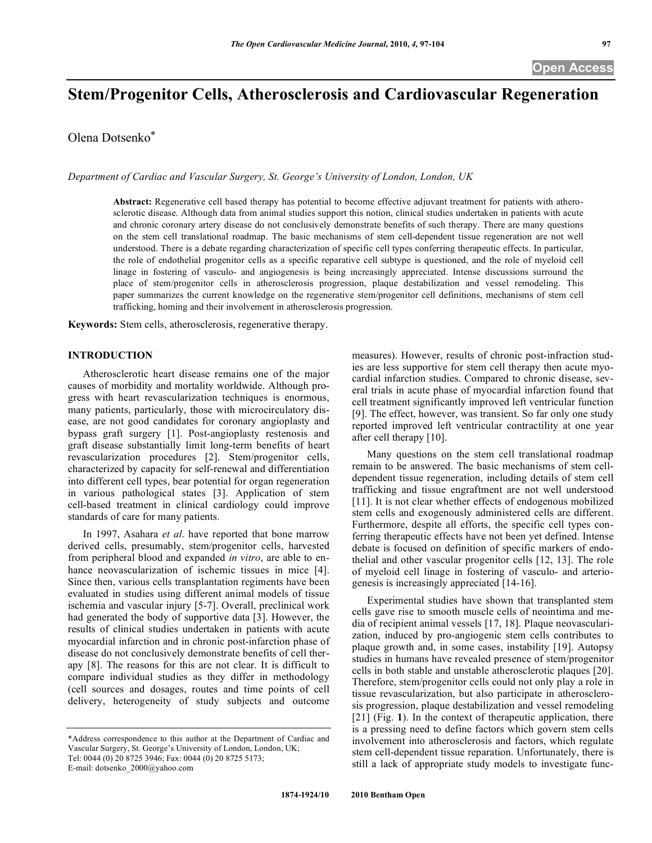# **Stem/Progenitor Cells, Atherosclerosis and Cardiovascular Regeneration**

Olena Dotsenko\*

*Department of Cardiac and Vascular Surgery, St. George's University of London, London, UK*

**Abstract:** Regenerative cell based therapy has potential to become effective adjuvant treatment for patients with atherosclerotic disease. Although data from animal studies support this notion, clinical studies undertaken in patients with acute and chronic coronary artery disease do not conclusively demonstrate benefits of such therapy. There are many questions on the stem cell translational roadmap. The basic mechanisms of stem cell-dependent tissue regeneration are not well understood. There is a debate regarding characterization of specific cell types conferring therapeutic effects. In particular, the role of endothelial progenitor cells as a specific reparative cell subtype is questioned, and the role of myeloid cell linage in fostering of vasculo- and angiogenesis is being increasingly appreciated. Intense discussions surround the place of stem/progenitor cells in atherosclerosis progression, plaque destabilization and vessel remodeling. This paper summarizes the current knowledge on the regenerative stem/progenitor cell definitions, mechanisms of stem cell trafficking, homing and their involvement in atherosclerosis progression.

**Keywords:** Stem cells, atherosclerosis, regenerative therapy.

# **INTRODUCTION**

Atherosclerotic heart disease remains one of the major causes of morbidity and mortality worldwide. Although progress with heart revascularization techniques is enormous, many patients, particularly, those with microcirculatory disease, are not good candidates for coronary angioplasty and bypass graft surgery [1]. Post-angioplasty restenosis and graft disease substantially limit long-term benefits of heart revascularization procedures [2]. Stem/progenitor cells, characterized by capacity for self-renewal and differentiation into different cell types, bear potential for organ regeneration in various pathological states [3]. Application of stem cell-based treatment in clinical cardiology could improve standards of care for many patients.

In 1997, Asahara *et al*. have reported that bone marrow derived cells, presumably, stem/progenitor cells, harvested from peripheral blood and expanded *in vitro*, are able to enhance neovascularization of ischemic tissues in mice [4]. Since then, various cells transplantation regiments have been evaluated in studies using different animal models of tissue ischemia and vascular injury [5-7]. Overall, preclinical work had generated the body of supportive data [3]. However, the results of clinical studies undertaken in patients with acute myocardial infarction and in chronic post-infarction phase of disease do not conclusively demonstrate benefits of cell therapy [8]. The reasons for this are not clear. It is difficult to compare individual studies as they differ in methodology (cell sources and dosages, routes and time points of cell delivery, heterogeneity of study subjects and outcome

measures). However, results of chronic post-infraction studies are less supportive for stem cell therapy then acute myocardial infarction studies. Compared to chronic disease, several trials in acute phase of myocardial infarction found that cell treatment significantly improved left ventricular function [9]. The effect, however, was transient. So far only one study reported improved left ventricular contractility at one year after cell therapy [10].

Many questions on the stem cell translational roadmap remain to be answered. The basic mechanisms of stem celldependent tissue regeneration, including details of stem cell trafficking and tissue engraftment are not well understood [11]. It is not clear whether effects of endogenous mobilized stem cells and exogenously administered cells are different. Furthermore, despite all efforts, the specific cell types conferring therapeutic effects have not been yet defined. Intense debate is focused on definition of specific markers of endothelial and other vascular progenitor cells [12, 13]. The role of myeloid cell linage in fostering of vasculo- and arteriogenesis is increasingly appreciated [14-16].

Experimental studies have shown that transplanted stem cells gave rise to smooth muscle cells of neointima and media of recipient animal vessels [17, 18]. Plaque neovascularization, induced by pro-angiogenic stem cells contributes to plaque growth and, in some cases, instability [19]. Autopsy studies in humans have revealed presence of stem/progenitor cells in both stable and unstable atherosclerotic plaques [20]. Therefore, stem/progenitor cells could not only play a role in tissue revascularization, but also participate in atherosclerosis progression, plaque destabilization and vessel remodeling [21] (Fig. **1**). In the context of therapeutic application, there is a pressing need to define factors which govern stem cells involvement into atherosclerosis and factors, which regulate stem cell-dependent tissue reparation. Unfortunately, there is still a lack of appropriate study models to investigate func-

<sup>\*</sup>Address correspondence to this author at the Department of Cardiac and Vascular Surgery, St. George's University of London, London, UK; Tel: 0044 (0) 20 8725 3946; Fax: 0044 (0) 20 8725 5173; E-mail: dotsenko\_2000@yahoo.com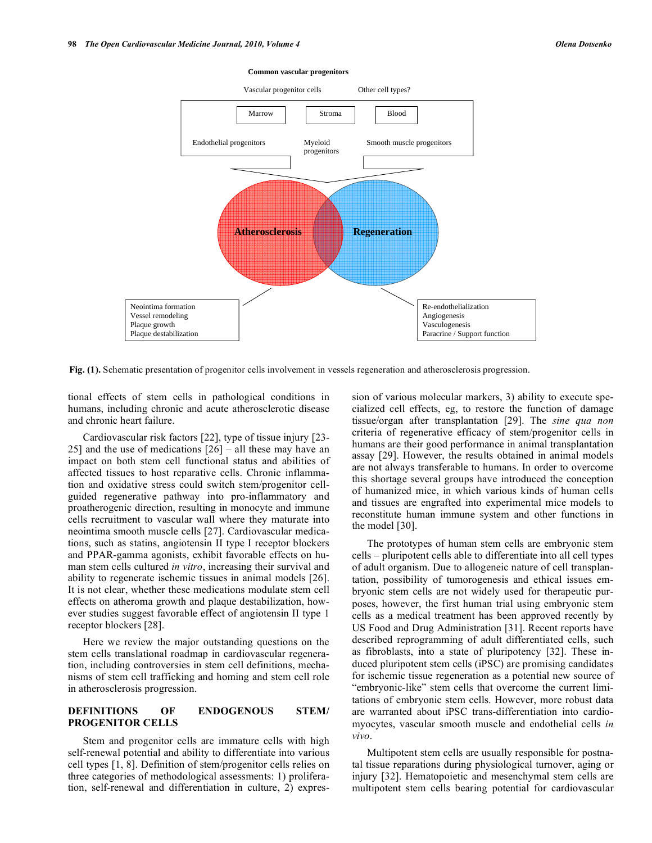

#### **Common vascular progenitors**

**Fig. (1).** Schematic presentation of progenitor cells involvement in vessels regeneration and atherosclerosis progression.

tional effects of stem cells in pathological conditions in humans, including chronic and acute atherosclerotic disease and chronic heart failure.

Cardiovascular risk factors [22], type of tissue injury [23- 25] and the use of medications [26] – all these may have an impact on both stem cell functional status and abilities of affected tissues to host reparative cells. Chronic inflammation and oxidative stress could switch stem/progenitor cellguided regenerative pathway into pro-inflammatory and proatherogenic direction, resulting in monocyte and immune cells recruitment to vascular wall where they maturate into neointima smooth muscle cells [27]. Cardiovascular medications, such as statins, angiotensin II type I receptor blockers and PPAR-gamma agonists, exhibit favorable effects on human stem cells cultured *in vitro*, increasing their survival and ability to regenerate ischemic tissues in animal models [26]. It is not clear, whether these medications modulate stem cell effects on atheroma growth and plaque destabilization, however studies suggest favorable effect of angiotensin II type 1 receptor blockers [28].

Here we review the major outstanding questions on the stem cells translational roadmap in cardiovascular regeneration, including controversies in stem cell definitions, mechanisms of stem cell trafficking and homing and stem cell role in atherosclerosis progression.

# **DEFINITIONS OF ENDOGENOUS STEM/ PROGENITOR CELLS**

Stem and progenitor cells are immature cells with high self-renewal potential and ability to differentiate into various cell types [1, 8]. Definition of stem/progenitor cells relies on three categories of methodological assessments: 1) proliferation, self-renewal and differentiation in culture, 2) expression of various molecular markers, 3) ability to execute specialized cell effects, eg, to restore the function of damage tissue/organ after transplantation [29]. The *sine qua non* criteria of regenerative efficacy of stem/progenitor cells in humans are their good performance in animal transplantation assay [29]. However, the results obtained in animal models are not always transferable to humans. In order to overcome this shortage several groups have introduced the conception of humanized mice, in which various kinds of human cells and tissues are engrafted into experimental mice models to reconstitute human immune system and other functions in the model [30].

The prototypes of human stem cells are embryonic stem cells – pluripotent cells able to differentiate into all cell types of adult organism. Due to allogeneic nature of cell transplantation, possibility of tumorogenesis and ethical issues embryonic stem cells are not widely used for therapeutic purposes, however, the first human trial using embryonic stem cells as a medical treatment has been approved recently by US Food and Drug Administration [31]. Recent reports have described reprogramming of adult differentiated cells, such as fibroblasts, into a state of pluripotency [32]. These induced pluripotent stem cells (iPSC) are promising candidates for ischemic tissue regeneration as a potential new source of "embryonic-like" stem cells that overcome the current limitations of embryonic stem cells. However, more robust data are warranted about iPSC trans-differentiation into cardiomyocytes, vascular smooth muscle and endothelial cells *in vivo*.

Multipotent stem cells are usually responsible for postnatal tissue reparations during physiological turnover, aging or injury [32]. Hematopoietic and mesenchymal stem cells are multipotent stem cells bearing potential for cardiovascular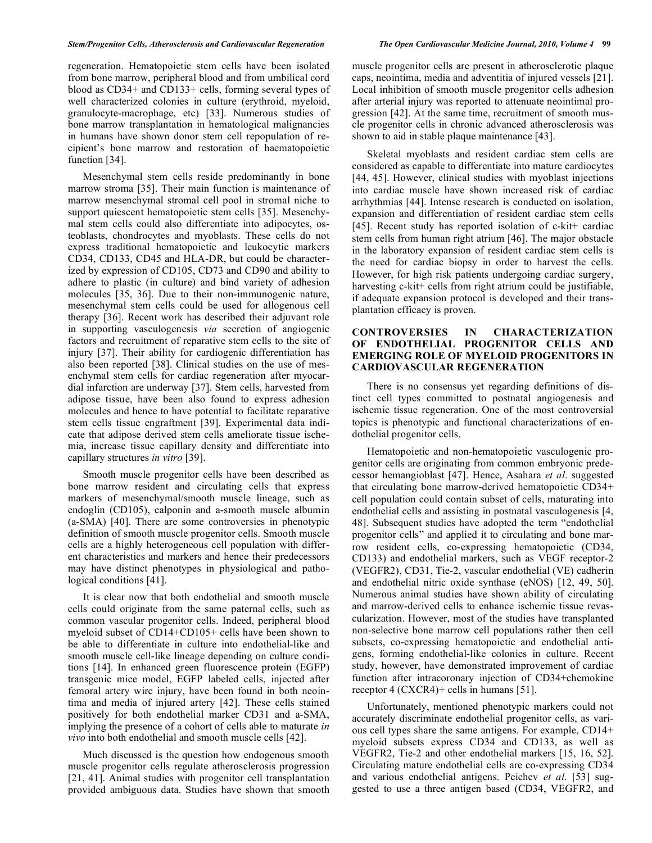regeneration. Hematopoietic stem cells have been isolated from bone marrow, peripheral blood and from umbilical cord blood as CD34+ and CD133+ cells, forming several types of well characterized colonies in culture (erythroid, myeloid, granulocyte-macrophage, etc) [33]. Numerous studies of bone marrow transplantation in hematological malignancies in humans have shown donor stem cell repopulation of recipient's bone marrow and restoration of haematopoietic function [34].

Mesenchymal stem cells reside predominantly in bone marrow stroma [35]. Their main function is maintenance of marrow mesenchymal stromal cell pool in stromal niche to support quiescent hematopoietic stem cells [35]. Mesenchymal stem cells could also differentiate into adipocytes, osteoblasts, chondrocytes and myoblasts. These cells do not express traditional hematopoietic and leukocytic markers CD34, CD133, CD45 and HLA-DR, but could be characterized by expression of CD105, CD73 and CD90 and ability to adhere to plastic (in culture) and bind variety of adhesion molecules [35, 36]. Due to their non-immunogenic nature, mesenchymal stem cells could be used for allogenous cell therapy [36]. Recent work has described their adjuvant role in supporting vasculogenesis *via* secretion of angiogenic factors and recruitment of reparative stem cells to the site of injury [37]. Their ability for cardiogenic differentiation has also been reported [38]. Clinical studies on the use of mesenchymal stem cells for cardiac regeneration after myocardial infarction are underway [37]. Stem cells, harvested from adipose tissue, have been also found to express adhesion molecules and hence to have potential to facilitate reparative stem cells tissue engraftment [39]. Experimental data indicate that adipose derived stem cells ameliorate tissue ischemia, increase tissue capillary density and differentiate into capillary structures *in vitro* [39].

Smooth muscle progenitor cells have been described as bone marrow resident and circulating cells that express markers of mesenchymal/smooth muscle lineage, such as endoglin (CD105), calponin and a-smooth muscle albumin (a-SMA) [40]. There are some controversies in phenotypic definition of smooth muscle progenitor cells. Smooth muscle cells are a highly heterogeneous cell population with different characteristics and markers and hence their predecessors may have distinct phenotypes in physiological and pathological conditions [41].

It is clear now that both endothelial and smooth muscle cells could originate from the same paternal cells, such as common vascular progenitor cells. Indeed, peripheral blood myeloid subset of CD14+CD105+ cells have been shown to be able to differentiate in culture into endothelial-like and smooth muscle cell-like lineage depending on culture conditions [14]. In enhanced green fluorescence protein (EGFP) transgenic mice model, EGFP labeled cells, injected after femoral artery wire injury, have been found in both neointima and media of injured artery [42]. These cells stained positively for both endothelial marker CD31 and a-SMA, implying the presence of a cohort of cells able to maturate *in vivo* into both endothelial and smooth muscle cells [42].

Much discussed is the question how endogenous smooth muscle progenitor cells regulate atherosclerosis progression [21, 41]. Animal studies with progenitor cell transplantation provided ambiguous data. Studies have shown that smooth

muscle progenitor cells are present in atherosclerotic plaque caps, neointima, media and adventitia of injured vessels [21]. Local inhibition of smooth muscle progenitor cells adhesion after arterial injury was reported to attenuate neointimal progression [42]. At the same time, recruitment of smooth muscle progenitor cells in chronic advanced atherosclerosis was shown to aid in stable plaque maintenance [43].

Skeletal myoblasts and resident cardiac stem cells are considered as capable to differentiate into mature cardiocytes [44, 45]. However, clinical studies with myoblast injections into cardiac muscle have shown increased risk of cardiac arrhythmias [44]. Intense research is conducted on isolation, expansion and differentiation of resident cardiac stem cells [45]. Recent study has reported isolation of c-kit+ cardiac stem cells from human right atrium [46]. The major obstacle in the laboratory expansion of resident cardiac stem cells is the need for cardiac biopsy in order to harvest the cells. However, for high risk patients undergoing cardiac surgery, harvesting c-kit+ cells from right atrium could be justifiable, if adequate expansion protocol is developed and their transplantation efficacy is proven.

# **CONTROVERSIES IN CHARACTERIZATION OF ENDOTHELIAL PROGENITOR CELLS AND EMERGING ROLE OF MYELOID PROGENITORS IN CARDIOVASCULAR REGENERATION**

There is no consensus yet regarding definitions of distinct cell types committed to postnatal angiogenesis and ischemic tissue regeneration. One of the most controversial topics is phenotypic and functional characterizations of endothelial progenitor cells.

Hematopoietic and non-hematopoietic vasculogenic progenitor cells are originating from common embryonic predecessor hemangioblast [47]. Hence, Asahara *et al*. suggested that circulating bone marrow-derived hematopoietic CD34+ cell population could contain subset of cells, maturating into endothelial cells and assisting in postnatal vasculogenesis [4, 48]. Subsequent studies have adopted the term "endothelial progenitor cells" and applied it to circulating and bone marrow resident cells, co-expressing hematopoietic (CD34, CD133) and endothelial markers, such as VEGF receptor-2 (VEGFR2), CD31, Tie-2, vascular endothelial (VE) cadherin and endothelial nitric oxide synthase (eNOS) [12, 49, 50]. Numerous animal studies have shown ability of circulating and marrow-derived cells to enhance ischemic tissue revascularization. However, most of the studies have transplanted non-selective bone marrow cell populations rather then cell subsets, co-expressing hematopoietic and endothelial antigens, forming endothelial-like colonies in culture. Recent study, however, have demonstrated improvement of cardiac function after intracoronary injection of CD34+chemokine receptor 4 (CXCR4)+ cells in humans [51].

Unfortunately, mentioned phenotypic markers could not accurately discriminate endothelial progenitor cells, as various cell types share the same antigens. For example, CD14+ myeloid subsets express CD34 and CD133, as well as VEGFR2, Tie-2 and other endothelial markers [15, 16, 52]. Circulating mature endothelial cells are co-expressing CD34 and various endothelial antigens. Peichev *et al*. [53] suggested to use a three antigen based (CD34, VEGFR2, and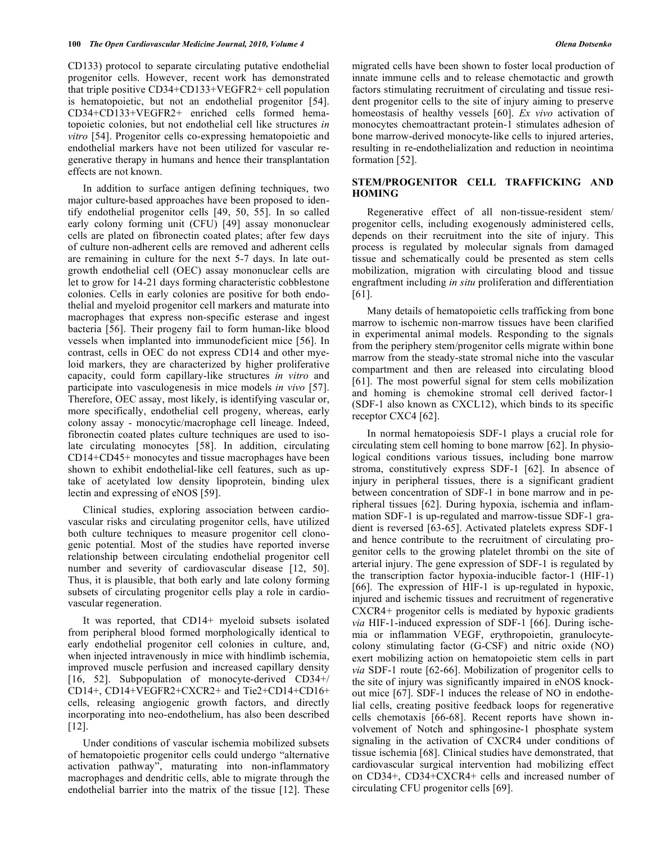CD133) protocol to separate circulating putative endothelial progenitor cells. However, recent work has demonstrated that triple positive CD34+CD133+VEGFR2+ cell population is hematopoietic, but not an endothelial progenitor [54]. CD34+CD133+VEGFR2+ enriched cells formed hematopoietic colonies, but not endothelial cell like structures *in vitro* [54]. Progenitor cells co-expressing hematopoietic and endothelial markers have not been utilized for vascular regenerative therapy in humans and hence their transplantation effects are not known.

In addition to surface antigen defining techniques, two major culture-based approaches have been proposed to identify endothelial progenitor cells [49, 50, 55]. In so called early colony forming unit (CFU) [49] assay mononuclear cells are plated on fibronectin coated plates; after few days of culture non-adherent cells are removed and adherent cells are remaining in culture for the next 5-7 days. In late outgrowth endothelial cell (OEC) assay mononuclear cells are let to grow for 14-21 days forming characteristic cobblestone colonies. Cells in early colonies are positive for both endothelial and myeloid progenitor cell markers and maturate into macrophages that express non-specific esterase and ingest bacteria [56]. Their progeny fail to form human-like blood vessels when implanted into immunodeficient mice [56]. In contrast, cells in OEC do not express CD14 and other myeloid markers, they are characterized by higher proliferative capacity, could form capillary-like structures *in vitro* and participate into vasculogenesis in mice models *in vivo* [57]. Therefore, OEC assay, most likely, is identifying vascular or, more specifically, endothelial cell progeny, whereas, early colony assay - monocytic/macrophage cell lineage. Indeed, fibronectin coated plates culture techniques are used to isolate circulating monocytes [58]. In addition, circulating CD14+CD45+ monocytes and tissue macrophages have been shown to exhibit endothelial-like cell features, such as uptake of acetylated low density lipoprotein, binding ulex lectin and expressing of eNOS [59].

Clinical studies, exploring association between cardiovascular risks and circulating progenitor cells, have utilized both culture techniques to measure progenitor cell clonogenic potential. Most of the studies have reported inverse relationship between circulating endothelial progenitor cell number and severity of cardiovascular disease [12, 50]. Thus, it is plausible, that both early and late colony forming subsets of circulating progenitor cells play a role in cardiovascular regeneration.

It was reported, that CD14+ myeloid subsets isolated from peripheral blood formed morphologically identical to early endothelial progenitor cell colonies in culture, and, when injected intravenously in mice with hindlimb ischemia, improved muscle perfusion and increased capillary density [16, 52]. Subpopulation of monocyte-derived CD34+/ CD14+, CD14+VEGFR2+CXCR2+ and Tie2+CD14+CD16+ cells, releasing angiogenic growth factors, and directly incorporating into neo-endothelium, has also been described [12].

Under conditions of vascular ischemia mobilized subsets of hematopoietic progenitor cells could undergo "alternative activation pathway", maturating into non-inflammatory macrophages and dendritic cells, able to migrate through the endothelial barrier into the matrix of the tissue [12]. These migrated cells have been shown to foster local production of innate immune cells and to release chemotactic and growth factors stimulating recruitment of circulating and tissue resident progenitor cells to the site of injury aiming to preserve homeostasis of healthy vessels [60]. *Ex vivo* activation of monocytes chemoattractant protein-1 stimulates adhesion of bone marrow-derived monocyte-like cells to injured arteries, resulting in re-endothelialization and reduction in neointima formation [52].

# **STEM/PROGENITOR CELL TRAFFICKING AND HOMING**

Regenerative effect of all non-tissue-resident stem/ progenitor cells, including exogenously administered cells, depends on their recruitment into the site of injury. This process is regulated by molecular signals from damaged tissue and schematically could be presented as stem cells mobilization, migration with circulating blood and tissue engraftment including *in situ* proliferation and differentiation [61].

Many details of hematopoietic cells trafficking from bone marrow to ischemic non-marrow tissues have been clarified in experimental animal models. Responding to the signals from the periphery stem/progenitor cells migrate within bone marrow from the steady-state stromal niche into the vascular compartment and then are released into circulating blood [61]. The most powerful signal for stem cells mobilization and homing is chemokine stromal cell derived factor-1 (SDF-1 also known as CXCL12), which binds to its specific receptor CXC4 [62].

In normal hematopoiesis SDF-1 plays a crucial role for circulating stem cell homing to bone marrow [62]. In physiological conditions various tissues, including bone marrow stroma, constitutively express SDF-1 [62]. In absence of injury in peripheral tissues, there is a significant gradient between concentration of SDF-1 in bone marrow and in peripheral tissues [62]. During hypoxia, ischemia and inflammation SDF-1 is up-regulated and marrow-tissue SDF-1 gradient is reversed [63-65]. Activated platelets express SDF-1 and hence contribute to the recruitment of circulating progenitor cells to the growing platelet thrombi on the site of arterial injury. The gene expression of SDF-1 is regulated by the transcription factor hypoxia-inducible factor-1 (HIF-1) [66]. The expression of HIF-1 is up-regulated in hypoxic, injured and ischemic tissues and recruitment of regenerative CXCR4+ progenitor cells is mediated by hypoxic gradients *via* HIF-1-induced expression of SDF-1 [66]. During ischemia or inflammation VEGF, erythropoietin, granulocytecolony stimulating factor (G-CSF) and nitric oxide (NO) exert mobilizing action on hematopoietic stem cells in part *via* SDF-1 route [62-66]. Mobilization of progenitor cells to the site of injury was significantly impaired in eNOS knockout mice [67]. SDF-1 induces the release of NO in endothelial cells, creating positive feedback loops for regenerative cells chemotaxis [66-68]. Recent reports have shown involvement of Notch and sphingosine-1 phosphate system signaling in the activation of CXCR4 under conditions of tissue ischemia [68]. Clinical studies have demonstrated, that cardiovascular surgical intervention had mobilizing effect on CD34+, CD34+CXCR4+ cells and increased number of circulating CFU progenitor cells [69].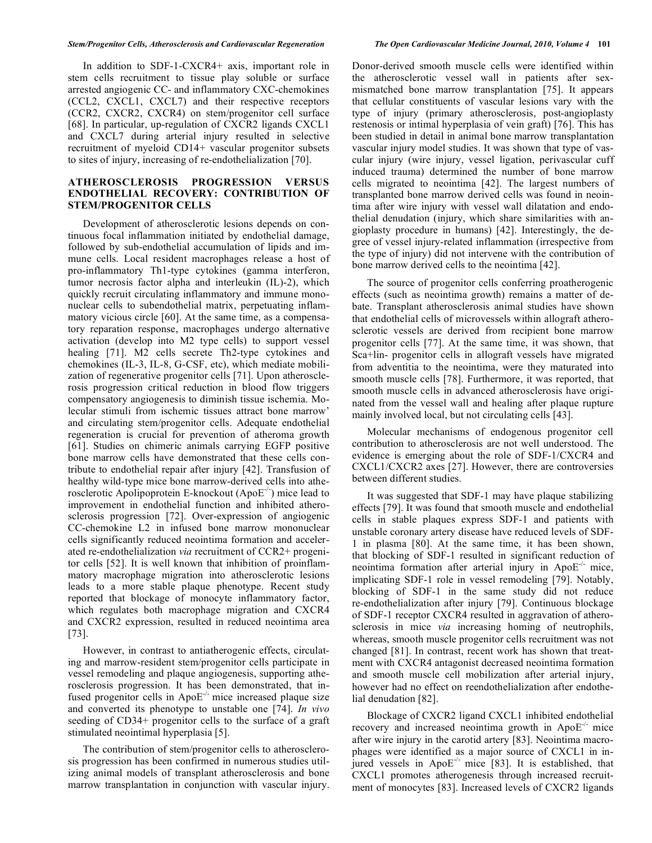In addition to SDF-1-CXCR4+ axis, important role in stem cells recruitment to tissue play soluble or surface arrested angiogenic CC- and inflammatory CXC-chemokines (CCL2, CXCL1, CXCL7) and their respective receptors (CCR2, CXCR2, CXCR4) on stem/progenitor cell surface [68]. In particular, up-regulation of CXCR2 ligands CXCL1 and CXCL7 during arterial injury resulted in selective recruitment of myeloid CD14+ vascular progenitor subsets to sites of injury, increasing of re-endothelialization [70].

### **ATHEROSCLEROSIS PROGRESSION VERSUS ENDOTHELIAL RECOVERY: CONTRIBUTION OF STEM/PROGENITOR CELLS**

Development of atherosclerotic lesions depends on continuous focal inflammation initiated by endothelial damage, followed by sub-endothelial accumulation of lipids and immune cells. Local resident macrophages release a host of pro-inflammatory Th1-type cytokines (gamma interferon, tumor necrosis factor alpha and interleukin (IL)-2), which quickly recruit circulating inflammatory and immune mononuclear cells to subendothelial matrix, perpetuating inflammatory vicious circle [60]. At the same time, as a compensatory reparation response, macrophages undergo alternative activation (develop into M2 type cells) to support vessel healing [71]. M2 cells secrete Th2-type cytokines and chemokines (IL-3, IL-8, G-CSF, etc), which mediate mobilization of regenerative progenitor cells [71]. Upon atherosclerosis progression critical reduction in blood flow triggers compensatory angiogenesis to diminish tissue ischemia. Molecular stimuli from ischemic tissues attract bone marrow' and circulating stem/progenitor cells. Adequate endothelial regeneration is crucial for prevention of atheroma growth [61]. Studies on chimeric animals carrying EGFP positive bone marrow cells have demonstrated that these cells contribute to endothelial repair after injury [42]. Transfusion of healthy wild-type mice bone marrow-derived cells into atherosclerotic Apolipoprotein E-knockout (Apo $E^{-/-}$ ) mice lead to improvement in endothelial function and inhibited atherosclerosis progression [72]. Over-expression of angiogenic CC-chemokine L2 in infused bone marrow mononuclear cells significantly reduced neointima formation and accelerated re-endothelialization *via* recruitment of CCR2+ progenitor cells [52]. It is well known that inhibition of proinflammatory macrophage migration into atherosclerotic lesions leads to a more stable plaque phenotype. Recent study reported that blockage of monocyte inflammatory factor, which regulates both macrophage migration and CXCR4 and CXCR2 expression, resulted in reduced neointima area [73].

However, in contrast to antiatherogenic effects, circulating and marrow-resident stem/progenitor cells participate in vessel remodeling and plaque angiogenesis, supporting atherosclerosis progression. It has been demonstrated, that infused progenitor cells in  $ApoE^{-1}$  mice increased plaque size and converted its phenotype to unstable one [74]. *In vivo* seeding of CD34+ progenitor cells to the surface of a graft stimulated neointimal hyperplasia [5].

The contribution of stem/progenitor cells to atherosclerosis progression has been confirmed in numerous studies utilizing animal models of transplant atherosclerosis and bone marrow transplantation in conjunction with vascular injury. Donor-derived smooth muscle cells were identified within the atherosclerotic vessel wall in patients after sexmismatched bone marrow transplantation [75]. It appears that cellular constituents of vascular lesions vary with the type of injury (primary atherosclerosis, post-angioplasty restenosis or intimal hyperplasia of vein graft) [76]. This has been studied in detail in animal bone marrow transplantation vascular injury model studies. It was shown that type of vascular injury (wire injury, vessel ligation, perivascular cuff induced trauma) determined the number of bone marrow cells migrated to neointima [42]. The largest numbers of transplanted bone marrow derived cells was found in neointima after wire injury with vessel wall dilatation and endothelial denudation (injury, which share similarities with angioplasty procedure in humans) [42]. Interestingly, the degree of vessel injury-related inflammation (irrespective from the type of injury) did not intervene with the contribution of bone marrow derived cells to the neointima [42].

The source of progenitor cells conferring proatherogenic effects (such as neointima growth) remains a matter of debate. Transplant atherosclerosis animal studies have shown that endothelial cells of microvessels within allograft atherosclerotic vessels are derived from recipient bone marrow progenitor cells [77]. At the same time, it was shown, that Sca+lin- progenitor cells in allograft vessels have migrated from adventitia to the neointima, were they maturated into smooth muscle cells [78]. Furthermore, it was reported, that smooth muscle cells in advanced atherosclerosis have originated from the vessel wall and healing after plaque rupture mainly involved local, but not circulating cells [43].

Molecular mechanisms of endogenous progenitor cell contribution to atherosclerosis are not well understood. The evidence is emerging about the role of SDF-1/CXCR4 and CXCL1/CXCR2 axes [27]. However, there are controversies between different studies.

It was suggested that SDF-1 may have plaque stabilizing effects [79]. It was found that smooth muscle and endothelial cells in stable plaques express SDF-1 and patients with unstable coronary artery disease have reduced levels of SDF-1 in plasma [80]. At the same time, it has been shown, that blocking of SDF-1 resulted in significant reduction of neointima formation after arterial injury in  $ApoE^{-1}$  mice, implicating SDF-1 role in vessel remodeling [79]. Notably, blocking of SDF-1 in the same study did not reduce re-endothelialization after injury [79]. Continuous blockage of SDF-1 receptor CXCR4 resulted in aggravation of atherosclerosis in mice *via* increasing homing of neutrophils, whereas, smooth muscle progenitor cells recruitment was not changed [81]. In contrast, recent work has shown that treatment with CXCR4 antagonist decreased neointima formation and smooth muscle cell mobilization after arterial injury, however had no effect on reendothelialization after endothelial denudation [82].

Blockage of CXCR2 ligand CXCL1 inhibited endothelial recovery and increased neointima growth in  $ApoE<sup>-/-</sup>$  mice after wire injury in the carotid artery [83]. Neointima macrophages were identified as a major source of CXCL1 in injured vessels in  $\text{ApoE}^{-/-}$  mice [83]. It is established, that CXCL1 promotes atherogenesis through increased recruitment of monocytes [83]. Increased levels of CXCR2 ligands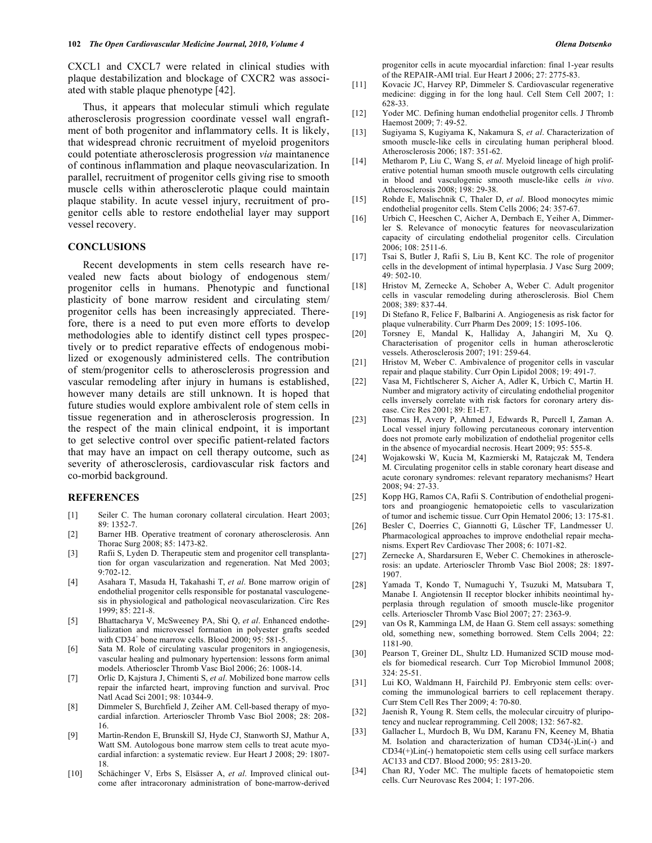CXCL1 and CXCL7 were related in clinical studies with plaque destabilization and blockage of CXCR2 was associated with stable plaque phenotype [42].

Thus, it appears that molecular stimuli which regulate atherosclerosis progression coordinate vessel wall engraftment of both progenitor and inflammatory cells. It is likely, that widespread chronic recruitment of myeloid progenitors could potentiate atherosclerosis progression *via* maintanence of continous inflammation and plaque neovascularization. In parallel, recruitment of progenitor cells giving rise to smooth muscle cells within atherosclerotic plaque could maintain plaque stability. In acute vessel injury, recruitment of progenitor cells able to restore endothelial layer may support vessel recovery.

# **CONCLUSIONS**

Recent developments in stem cells research have revealed new facts about biology of endogenous stem/ progenitor cells in humans. Phenotypic and functional plasticity of bone marrow resident and circulating stem/ progenitor cells has been increasingly appreciated. Therefore, there is a need to put even more efforts to develop methodologies able to identify distinct cell types prospectively or to predict reparative effects of endogenous mobilized or exogenously administered cells. The contribution of stem/progenitor cells to atherosclerosis progression and vascular remodeling after injury in humans is established, however many details are still unknown. It is hoped that future studies would explore ambivalent role of stem cells in tissue regeneration and in atherosclerosis progression. In the respect of the main clinical endpoint, it is important to get selective control over specific patient-related factors that may have an impact on cell therapy outcome, such as severity of atherosclerosis, cardiovascular risk factors and co-morbid background.

#### **REFERENCES**

- [1] Seiler C. The human coronary collateral circulation. Heart 2003; 89: 1352-7.
- [2] Barner HB. Operative treatment of coronary atherosclerosis. Ann Thorac Surg 2008; 85: 1473-82.
- [3] Rafii S, Lyden D. Therapeutic stem and progenitor cell transplantation for organ vascularization and regeneration. Nat Med 2003; 9:702-12.
- [4] Asahara T, Masuda H, Takahashi T, *et al*. Bone marrow origin of endothelial progenitor cells responsible for postanatal vasculogenesis in physiological and pathological neovascularization. Circ Res 1999; 85: 221-8.
- [5] Bhattacharya V, McSweeney PA, Shi Q, *et al*. Enhanced endothelialization and microvessel formation in polyester grafts seeded with  $CD34<sup>+</sup>$  bone marrow cells. Blood  $2000$ ;  $95:581-5$ .
- [6] Sata M. Role of circulating vascular progenitors in angiogenesis, vascular healing and pulmonary hypertension: lessons form animal models. Atherioscler Thromb Vasc Biol 2006; 26: 1008-14.
- [7] Orlic D, Kajstura J, Chimenti S, *et al*. Mobilized bone marrow cells repair the infarcted heart, improving function and survival. Proc Natl Acad Sci 2001; 98: 10344-9.
- [8] Dimmeler S, Burchfield J, Zeiher AM. Cell-based therapy of myocardial infarction. Arterioscler Thromb Vasc Biol 2008; 28: 208- 16.
- [9] Martin-Rendon E, Brunskill SJ, Hyde CJ, Stanworth SJ, Mathur A, Watt SM. Autologous bone marrow stem cells to treat acute myocardial infarction: a systematic review. Eur Heart J 2008; 29: 1807- 18.
- [10] Schächinger V, Erbs S, Elsässer A, *et al*. Improved clinical outcome after intracoronary administration of bone-marrow-derived

progenitor cells in acute myocardial infarction: final 1-year results of the REPAIR-AMI trial. Eur Heart J 2006; 27: 2775-83.

- [11] Kovacic JC, Harvey RP, Dimmeler S. Cardiovascular regenerative medicine: digging in for the long haul. Cell Stem Cell 2007; 1: 628-33.
- [12] Yoder MC. Defining human endothelial progenitor cells. J Thromb Haemost 2009; 7: 49-52.
- [13] Sugiyama S, Kugiyama K, Nakamura S, *et al*. Characterization of smooth muscle-like cells in circulating human peripheral blood. Atherosclerosis 2006; 187: 351-62.
- [14] Metharom P, Liu C, Wang S, *et al*. Myeloid lineage of high proliferative potential human smooth muscle outgrowth cells circulating in blood and vasculogenic smooth muscle-like cells *in vivo*. Atherosclerosis 2008; 198: 29-38.
- [15] Rohde E, Malischnik C, Thaler D, *et al*. Blood monocytes mimic endothelial progenitor cells. Stem Cells 2006; 24: 357-67.
- [16] Urbich C, Heeschen C, Aicher A, Dernbach E, Yeiher A, Dimmerler S. Relevance of monocytic features for neovascularization capacity of circulating endothelial progenitor cells. Circulation 2006; 108: 2511-6.
- [17] Tsai S, Butler J, Rafii S, Liu B, Kent KC. The role of progenitor cells in the development of intimal hyperplasia. J Vasc Surg 2009; 49: 502-10.
- [18] Hristov M, Zernecke A, Schober A, Weber C. Adult progenitor cells in vascular remodeling during atherosclerosis. Biol Chem 2008; 389: 837-44.
- [19] Di Stefano R, Felice F, Balbarini A. Angiogenesis as risk factor for plaque vulnerability. Curr Pharm Des 2009; 15: 1095-106.
- [20] Torsney E, Mandal K, Halliday A, Jahangiri M, Xu Q. Characterisation of progenitor cells in human atherosclerotic vessels. Atherosclerosis 2007; 191: 259-64.
- [21] Hristov M, Weber C. Ambivalence of progenitor cells in vascular repair and plaque stability. Curr Opin Lipidol 2008; 19: 491-7.
- [22] Vasa M, Fichtlscherer S, Aicher A, Adler K, Urbich C, Martin H. Number and migratory activity of circulating endothelial progenitor cells inversely correlate with risk factors for coronary artery disease. Circ Res 2001; 89: E1-E7.
- [23] Thomas H, Avery P, Ahmed J, Edwards R, Purcell I, Zaman A. Local vessel injury following percutaneous coronary intervention does not promote early mobilization of endothelial progenitor cells in the absence of myocardial necrosis. Heart 2009; 95: 555-8.
- [24] Wojakowski W, Kucia M, Kazmierski M, Ratajczak M, Tendera M. Circulating progenitor cells in stable coronary heart disease and acute coronary syndromes: relevant reparatory mechanisms? Heart 2008; 94: 27-33.
- [25] Kopp HG, Ramos CA, Rafii S. Contribution of endothelial progenitors and proangiogenic hematopoietic cells to vascularization of tumor and ischemic tissue. Curr Opin Hematol 2006; 13: 175-81.
- [26] Besler C, Doerries C, Giannotti G, Lüscher TF, Landmesser U. Pharmacological approaches to improve endothelial repair mechanisms. Expert Rev Cardiovasc Ther 2008; 6: 1071-82.
- [27] Zernecke A, Shardarsuren E, Weber C. Chemokines in atherosclerosis: an update. Arterioscler Thromb Vasc Biol 2008; 28: 1897- 1907.
- [28] Yamada T, Kondo T, Numaguchi Y, Tsuzuki M, Matsubara T, Manabe I. Angiotensin II receptor blocker inhibits neointimal hyperplasia through regulation of smooth muscle-like progenitor cells. Arterioscler Thromb Vasc Biol 2007; 27: 2363-9.
- [29] van Os R, Kamminga LM, de Haan G. Stem cell assays: something old, something new, something borrowed. Stem Cells 2004; 22: 1181-90.
- [30] Pearson T, Greiner DL, Shultz LD. Humanized SCID mouse models for biomedical research. Curr Top Microbiol Immunol 2008;  $324 \cdot 25 - 51$
- [31] Lui KO, Waldmann H, Fairchild PJ. Embryonic stem cells: overcoming the immunological barriers to cell replacement therapy. Curr Stem Cell Res Ther 2009; 4: 70-80.
- [32] Jaenish R, Young R. Stem cells, the molecular circuitry of pluripotency and nuclear reprogramming. Cell 2008; 132: 567-82.
- [33] Gallacher L, Murdoch B, Wu DM, Karanu FN, Keeney M, Bhatia M. Isolation and characterization of human CD34(-)Lin(-) and CD34(+)Lin(-) hematopoietic stem cells using cell surface markers AC133 and CD7. Blood 2000; 95: 2813-20.
- [34] Chan RJ, Yoder MC. The multiple facets of hematopoietic stem cells. Curr Neurovasc Res 2004; 1: 197-206.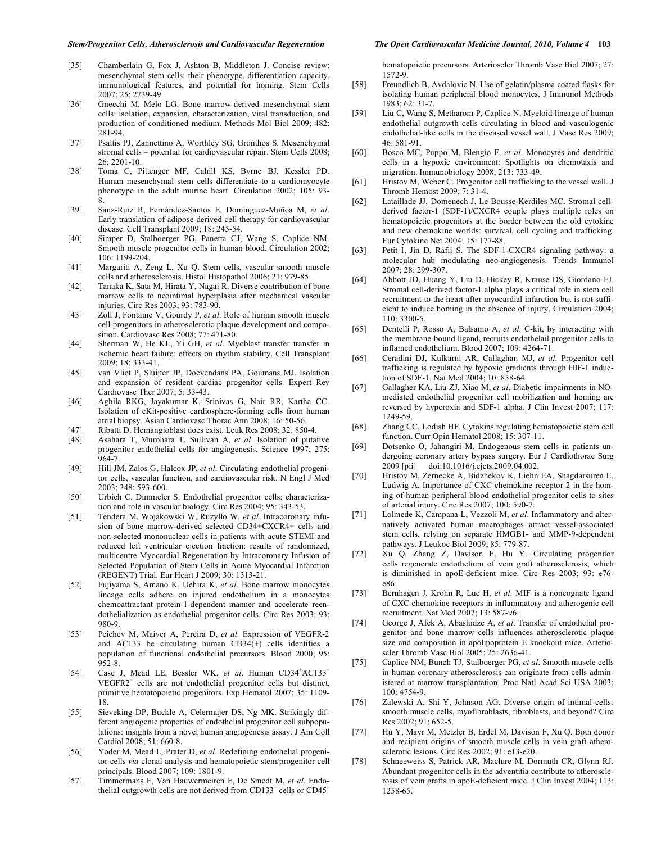#### *Stem/Progenitor Cells, Atherosclerosis and Cardiovascular Regeneration The Open Cardiovascular Medicine Journal, 2010, Volume 4* **103**

- [35] Chamberlain G, Fox J, Ashton B, Middleton J. Concise review: mesenchymal stem cells: their phenotype, differentiation capacity, immunological features, and potential for homing. Stem Cells 2007; 25: 2739-49.
- [36] Gnecchi M, Melo LG. Bone marrow-derived mesenchymal stem cells: isolation, expansion, characterization, viral transduction, and production of conditioned medium. Methods Mol Biol 2009; 482: 281-94.
- [37] Psaltis PJ, Zannettino A, Worthley SG, Gronthos S. Mesenchymal stromal cells – potential for cardiovascular repair. Stem Cells 2008; 26; 2201-10.
- [38] Toma C, Pittenger MF, Cahill KS, Byrne BJ, Kessler PD. Human mesenchymal stem cells differentiate to a cardiomyocyte phenotype in the adult murine heart. Circulation 2002; 105: 93- 8.
- [39] Sanz-Ruiz R, Fernández-Santos E, Domínguez-Muñoa M, *et al*. Early translation of adipose-derived cell therapy for cardiovascular disease. Cell Transplant 2009; 18: 245-54.
- [40] Simper D, Stalboerger PG, Panetta CJ, Wang S, Caplice NM. Smooth muscle progenitor cells in human blood. Circulation 2002; 106: 1199-204.
- [41] Margariti A, Zeng L, Xu Q. Stem cells, vascular smooth muscle cells and atherosclerosis. Histol Histopathol 2006; 21: 979-85.
- [42] Tanaka K, Sata M, Hirata Y, Nagai R. Diverse contribution of bone marrow cells to neointimal hyperplasia after mechanical vascular injuries. Circ Res 2003; 93: 783-90.
- [43] Zoll J, Fontaine V, Gourdy P, *et al*. Role of human smooth muscle cell progenitors in atherosclerotic plaque development and composition. Cardiovasc Res 2008; 77: 471-80.
- [44] Sherman W, He KL, Yi GH, *et al*. Myoblast transfer transfer in ischemic heart failure: effects on rhythm stability. Cell Transplant 2009; 18: 333-41.
- [45] van Vliet P, Sluijter JP, Doevendans PA, Goumans MJ. Isolation and expansion of resident cardiac progenitor cells. Expert Rev Cardiovasc Ther 2007; 5: 33-43.
- [46] Aghila RKG, Jayakumar K, Srinivas G, Nair RR, Kartha CC. Isolation of cKit-positive cardiosphere-forming cells from human atrial biopsy. Asian Cardiovasc Thorac Ann 2008; 16: 50-56.
- [47] Ribatti D. Hemangioblast does exist. Leuk Res 2008; 32: 850-4.
- [48] Asahara T, Murohara T, Sullivan A, *et al*. Isolation of putative progenitor endothelial cells for angiogenesis. Science 1997; 275: 964-7.
- [49] Hill JM, Zalos G, Halcox JP, *et al*. Circulating endothelial progenitor cells, vascular function, and cardiovascular risk. N Engl J Med 2003; 348: 593-600.
- [50] Urbich C, Dimmeler S. Endothelial progenitor cells: characterization and role in vascular biology. Circ Res 2004; 95: 343-53.
- [51] Tendera M, Wojakowski W, Ruzyłło W, *et al*. Intracoronary infusion of bone marrow-derived selected CD34+CXCR4+ cells and non-selected mononuclear cells in patients with acute STEMI and reduced left ventricular ejection fraction: results of randomized, multicentre Myocardial Regeneration by Intracoronary Infusion of Selected Population of Stem Cells in Acute Myocardial Infarction (REGENT) Trial. Eur Heart J 2009; 30: 1313-21.
- [52] Fujiyama S, Amano K, Uehira K, *et al*. Bone marrow monocytes lineage cells adhere on injured endothelium in a monocytes chemoattractant protein-1-dependent manner and accelerate reendothelialization as endothelial progenitor cells. Circ Res 2003; 93: 980-9.
- [53] Peichev M, Maiyer A, Pereira D, *et al*. Expression of VEGFR-2 and AC133 be circulating human  $CD34(+)$  cells identifies a population of functional endothelial precursors. Blood 2000; 95: 952-8.
- [54] Case J, Mead LE, Bessler WK, et al. Human CD34<sup>+</sup>AC133<sup>+</sup> VEGFR2<sup>+</sup> cells are not endothelial progenitor cells but distinct, primitive hematopoietic progenitors. Exp Hematol 2007; 35: 1109- 18.
- [55] Sieveking DP, Buckle A, Celermajer DS, Ng MK. Strikingly different angiogenic properties of endothelial progenitor cell subpopulations: insights from a novel human angiogenesis assay. J Am Coll Cardiol 2008; 51: 660-8.
- [56] Yoder M, Mead L, Prater D, *et al*. Redefining endothelial progenitor cells *via* clonal analysis and hematopoietic stem/progenitor cell principals. Blood 2007; 109: 1801-9.
- [57] Timmermans F, Van Hauwermeiren F, De Smedt M, *et al*. Endothelial outgrowth cells are not derived from CD133<sup>+</sup> cells or CD45<sup>+</sup>

hematopoietic precursors. Arterioscler Thromb Vasc Biol 2007; 27: 1572-9.

- [58] Freundlich B, Avdalovic N. Use of gelatin/plasma coated flasks for isolating human peripheral blood monocytes. J Immunol Methods 1983; 62: 31-7.
- [59] Liu C, Wang S, Metharom P, Caplice N. Myeloid lineage of human endothelial outgrowth cells circulating in blood and vasculogenic endothelial-like cells in the diseased vessel wall. J Vasc Res 2009; 46: 581-91.
- [60] Bosco MC, Puppo M, Blengio F, *et al*. Monocytes and dendritic cells in a hypoxic environment: Spotlights on chemotaxis and migration. Immunobiology 2008; 213: 733-49.
- [61] Hristov M, Weber C. Progenitor cell trafficking to the vessel wall. J Thromb Hemost 2009; 7: 31-4.
- [62] Lataillade JJ, Domenech J, Le Bousse-Kerdiles MC. Stromal cellderived factor-1 (SDF-1)/CXCR4 couple plays multiple roles on hematopoietic progenitors at the border between the old cytokine and new chemokine worlds: survival, cell cycling and trafficking. Eur Cytokine Net 2004; 15: 177-88.
- [63] Petit I, Jin D, Rafii S. The SDF-1-CXCR4 signaling pathway: a molecular hub modulating neo-angiogenesis. Trends Immunol 2007; 28: 299-307.
- [64] Abbott JD, Huang Y, Liu D, Hickey R, Krause DS, Giordano FJ. Stromal cell-derived factor-1 alpha plays a critical role in stem cell recruitment to the heart after myocardial infarction but is not sufficient to induce homing in the absence of injury. Circulation 2004; 110: 3300-5.
- [65] Dentelli P, Rosso A, Balsamo A, *et al*. C-kit, by interacting with the membrane-bound ligand, recruits endothelail progenitor cells to inflamed endothelium. Blood 2007; 109: 4264-71.
- [66] Ceradini DJ, Kulkarni AR, Callaghan MJ, *et al*. Progenitor cell trafficking is regulated by hypoxic gradients through HIF-1 induction of SDF-1. Nat Med 2004; 10: 858-64.
- [67] Gallagher KA, Liu ZJ, Xiao M, *et al*. Diabetic impairments in NOmediated endothelial progenitor cell mobilization and homing are reversed by hyperoxia and SDF-1 alpha. J Clin Invest 2007; 117: 1249-59.
- [68] Zhang CC, Lodish HF. Cytokins regulating hematopoietic stem cell function. Curr Opin Hematol 2008; 15: 307-11.
- [69] Dotsenko O, Jahangiri M. Endogenous stem cells in patients undergoing coronary artery bypass surgery. Eur J Cardiothorac Surg 2009 [pii] doi:10.1016/j.ejcts.2009.04.002.
- [70] Hristov M, Zernecke A, Bidzhekov K, Liehn EA, Shagdarsuren E, Ludwig A. Importance of CXC chemokine receptor 2 in the homing of human peripheral blood endothelial progenitor cells to sites of arterial injury. Circ Res 2007; 100: 590-7.
- [71] Lolmede K, Campana L, Vezzoli M, *et al*. Inflammatory and alternatively activated human macrophages attract vessel-associated stem cells, relying on separate HMGB1- and MMP-9-dependent pathways. J Leukoc Biol 2009; 85: 779-87.
- [72] Xu Q, Zhang Z, Davison F, Hu Y. Circulating progenitor cells regenerate endothelium of vein graft atherosclerosis, which is diminished in apoE-deficient mice. Circ Res 2003; 93: e76 e86.
- [73] Bernhagen J, Krohn R, Lue H, *et al*. MIF is a noncognate ligand of CXC chemokine receptors in inflammatory and atherogenic cell recruitment. Nat Med 2007; 13: 587-96.
- [74] George J, Afek A, Abashidze A, *et al*. Transfer of endothelial progenitor and bone marrow cells influences atherosclerotic plaque size and composition in apolipoprotein E knockout mice. Arterioscler Thromb Vasc Biol 2005; 25: 2636-41.
- [75] Caplice NM, Bunch TJ, Stalboerger PG, *et al*. Smooth muscle cells in human coronary atherosclerosis can originate from cells administered at marrow transplantation. Proc Natl Acad Sci USA 2003; 100: 4754-9.
- [76] Zalewski A, Shi Y, Johnson AG. Diverse origin of intimal cells: smooth muscle cells, myofibroblasts, fibroblasts, and beyond? Circ Res 2002; 91: 652-5.
- [77] Hu Y, Mayr M, Metzler B, Erdel M, Davison F, Xu Q. Both donor and recipient origins of smooth muscle cells in vein graft atherosclerotic lesions. Circ Res 2002; 91: e13-e20.
- [78] Schneeweiss S, Patrick AR, Maclure M, Dormuth CR, Glynn RJ. Abundant progenitor cells in the adventitia contribute to atherosclerosis of vein grafts in apoE-deficient mice. J Clin Invest 2004; 113: 1258-65.